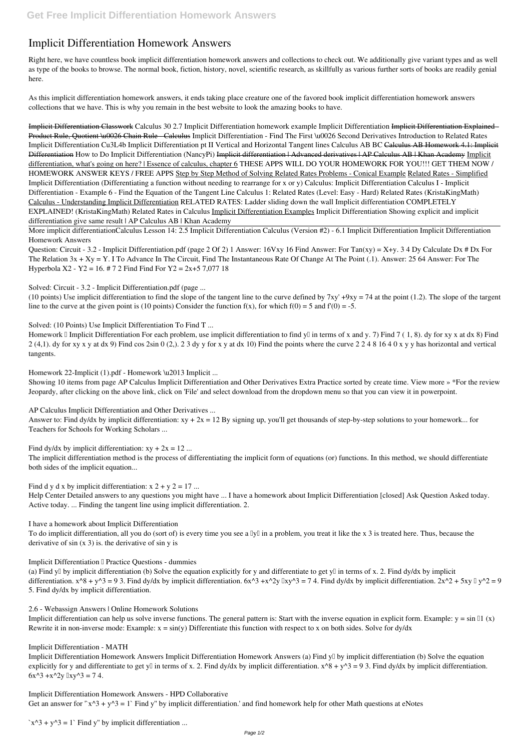## **Implicit Differentiation Homework Answers**

Right here, we have countless book **implicit differentiation homework answers** and collections to check out. We additionally give variant types and as well as type of the books to browse. The normal book, fiction, history, novel, scientific research, as skillfully as various further sorts of books are readily genial here.

As this implicit differentiation homework answers, it ends taking place creature one of the favored book implicit differentiation homework answers collections that we have. This is why you remain in the best website to look the amazing books to have.

Question: Circuit - 3.2 - Implicit Differentiation.pdf (page 2 Of 2) 1 Answer: 16Vxy 16 Find Answer: For Tan(xy) = X+y. 3 4 Dy Calculate Dx # Dx For The Relation 3x + Xy = Y. I To Advance In The Circuit, Find The Instantaneous Rate Of Change At The Point (.1). Answer: 25 64 Answer: For The Hyperbola X2 - Y2 = 16. # 7 2 Find Find For Y2 =  $2x+5$  7,077 18

Implicit Differentiation Classwork Calculus 30 2.7 Implicit Differentiation homework example *Implicit Differentiation* Implicit Differentiation Explained - Product Rule, Quotient \u0026 Chain Rule - Calculus Implicit Differentiation - Find The First \u0026 Second Derivatives Introduction to Related Rates Implicit Differentiation Cu3L4b Implicit Differentiation pt II Vertical and Horizontal Tangent lines Calculus AB BC Calculus AB Homework 4.1: Implicit Differentiation How to Do Implicit Differentiation (NancyPi) Implicit differentiation | Advanced derivatives | AP Calculus AB | Khan Academy Implicit differentiation, what's going on here? | Essence of calculus, chapter 6 THESE APPS WILL DO YOUR HOMEWORK FOR YOU!!! GET THEM NOW / HOMEWORK ANSWER KEYS / FREE APPS Step by Step Method of Solving Related Rates Problems - Conical Example Related Rates - Simplified **Implicit Differentiation (Differentiating a function without needing to rearrange for x or y)** Calculus: Implicit Differentiation Calculus I - Implicit Differentiation - Example 6 - Find the Equation of the Tangent Line Calculus 1: Related Rates (Level: Easy - Hard) *Related Rates (KristaKingMath)* Calculus - Understanding Implicit Differentiation *RELATED RATES: Ladder sliding down the wall* Implicit differentiation COMPLETELY EXPLAINED! (KristaKingMath) *Related Rates in Calculus* Implicit Differentiation Examples **Implicit Differentiation Showing explicit and implicit differentiation give same result | AP Calculus AB | Khan Academy**

Homework II mplicit Differentiation For each problem, use implicit differentiation to find yII in terms of x and y. 7) Find 7 (1,8). dy for xy x at dx 8) Find 2 (4,1). dy for xy x y at dx 9) Find cos 2sin 0 (2,). 2 3 dy y for x y at dx 10) Find the points where the curve 2 2 4 8 16 4 0 x y y has horizontal and vertical tangents.

Answer to: Find dy/dx by implicit differentiation:  $xy + 2x = 12$  By signing up, you'll get thousands of step-by-step solutions to your homework... for Teachers for Schools for Working Scholars ...

More implicit differentiation*Calculus Lesson 14: 2.5 Implicit Differentiation* Calculus (Version #2) - 6.1 Implicit Differentiation *Implicit Differentiation Homework Answers*

(a) Find y<sup> $\parallel$ </sup> by implicit differentiation (b) Solve the equation explicitly for y and differentiate to get y $\parallel$  in terms of x. 2. Find dy/dx by implicit differentiation.  $x^8 + y^3 = 9$  3. Find dy/dx by implicit differentiation.  $6x^3 + x^2y \ln y^3 = 74$ . Find dy/dx by implicit differentiation.  $2x^2 + 5xy \ln y^2 = 9$ 5. Find dy/dx by implicit differentiation.

*Solved: Circuit - 3.2 - Implicit Differentiation.pdf (page ...*

(10 points) Use implicit differentiation to find the slope of the tangent line to the curve defined by  $7xy' +9xy = 74$  at the point (1.2). The slope of the targent line to the curve at the given point is (10 points) Consider the function  $f(x)$ , for which  $f(0) = 5$  and  $f'(0) = -5$ .

*Solved: (10 Points) Use Implicit Differentiation To Find T ...*

*Homework 22-Implicit (1).pdf - Homework \u2013 Implicit ...*

Showing 10 items from page AP Calculus Implicit Differentiation and Other Derivatives Extra Practice sorted by create time. View more » \*For the review Jeopardy, after clicking on the above link, click on 'File' and select download from the dropdown menu so that you can view it in powerpoint.

*AP Calculus Implicit Differentiation and Other Derivatives ...*

*Find dy/dx by implicit differentiation: xy + 2x = 12 ...*

The implicit differentiation method is the process of differentiating the implicit form of equations (or) functions. In this method, we should differentiate both sides of the implicit equation...

*Find d y d x by implicit differentiation: x 2 + y 2 = 17 ...*

Help Center Detailed answers to any questions you might have ... I have a homework about Implicit Differentiation [closed] Ask Question Asked today. Active today. ... Finding the tangent line using implicit differentiation. 2.

*I have a homework about Implicit Differentiation*

To do implicit differentiation, all you do (sort of) is every time you see a  $\mathbb{I}y\mathbb{I}$  in a problem, you treat it like the x 3 is treated here. Thus, because the derivative of  $sin(x 3)$  is. the derivative of  $sin y$  is

*Implicit Differentiation <sup>II</sup> Practice Questions - dummies* 

## *2.6 - Webassign Answers | Online Homework Solutions*

Implicit differentiation can help us solve inverse functions. The general pattern is: Start with the inverse equation in explicit form. Example:  $y = \sin \theta 1$  (x) Rewrite it in non-inverse mode: Example:  $x = sin(y)$  Differentiate this function with respect to x on both sides. Solve for dy/dx

## *Implicit Differentiation - MATH*

Implicit Differentiation Homework Answers Implicit Differentiation Homework Answers (a) Find y<sup>n</sup> by implicit differentiation (b) Solve the equation explicitly for y and differentiate to get yll in terms of x. 2. Find dy/dx by implicit differentiation.  $x^8 + y^3 = 9$  3. Find dy/dx by implicit differentiation.  $6x^3 + x^2y \, |xy^3 = 74$ .

*Implicit Differentiation Homework Answers - HPD Collaborative*

Get an answer for " $x^3 + y^3 = 1$ " Find y" by implicit differentiation.' and find homework help for other Math questions at eNotes

*`x^3 + y^3 = 1` Find y'' by implicit differentiation ...*